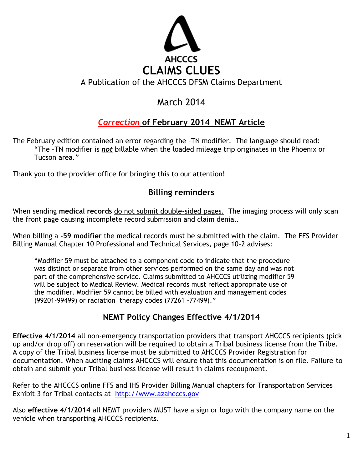

### A Publication of the AHCCCS DFSM Claims Department

# March 2014

## *Correction* **of February 2014 NEMT Article**

The February edition contained an error regarding the –TN modifier. The language should read: "The –TN modifier is *not* billable when the loaded mileage trip originates in the Phoenix or Tucson area."

Thank you to the provider office for bringing this to our attention!

#### **Billing reminders**

When sending **medical records** do not submit double-sided pages. The imaging process will only scan the front page causing incomplete record submission and claim denial.

When billing a **-59 modifier** the medical records must be submitted with the claim. The FFS Provider Billing Manual Chapter 10 Professional and Technical Services, page 10-2 advises:

"Modifier 59 must be attached to a component code to indicate that the procedure was distinct or separate from other services performed on the same day and was not part of the comprehensive service. Claims submitted to AHCCCS utilizing modifier 59 will be subject to Medical Review. Medical records must reflect appropriate use of the modifier. Modifier 59 cannot be billed with evaluation and management codes (99201-99499) or radiation therapy codes (77261 -77499)."

#### **NEMT Policy Changes Effective 4/1/2014**

**Effective 4/1/2014** all non-emergency transportation providers that transport AHCCCS recipients (pick up and/or drop off) on reservation will be required to obtain a Tribal business license from the Tribe. A copy of the Tribal business license must be submitted to AHCCCS Provider Registration for documentation. When auditing claims AHCCCS will ensure that this documentation is on file. Failure to obtain and submit your Tribal business license will result in claims recoupment.

Refer to the AHCCCS online FFS and IHS Provider Billing Manual chapters for Transportation Services Exhibit 3 for Tribal contacts at http://www.azahcccs.gov

Also **effective 4/1/2014** all NEMT providers MUST have a sign or logo with the company name on the vehicle when transporting AHCCCS recipients.